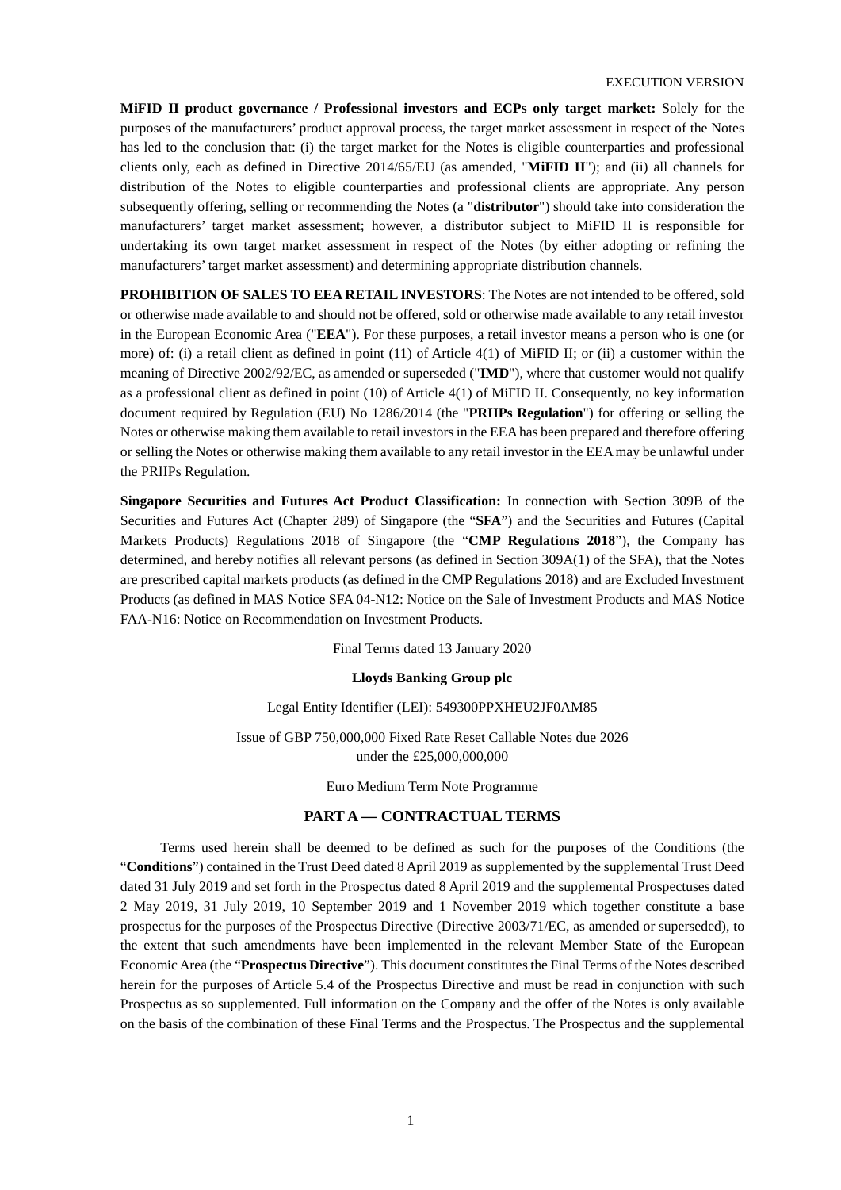**MiFID II product governance / Professional investors and ECPs only target market:** Solely for the purposes of the manufacturers' product approval process, the target market assessment in respect of the Notes has led to the conclusion that: (i) the target market for the Notes is eligible counterparties and professional clients only, each as defined in Directive 2014/65/EU (as amended, "**MiFID II**"); and (ii) all channels for distribution of the Notes to eligible counterparties and professional clients are appropriate. Any person subsequently offering, selling or recommending the Notes (a "**distributor**") should take into consideration the manufacturers' target market assessment; however, a distributor subject to MiFID II is responsible for undertaking its own target market assessment in respect of the Notes (by either adopting or refining the manufacturers' target market assessment) and determining appropriate distribution channels.

**PROHIBITION OF SALES TO EEA RETAIL INVESTORS**: The Notes are not intended to be offered, sold or otherwise made available to and should not be offered, sold or otherwise made available to any retail investor in the European Economic Area ("**EEA**"). For these purposes, a retail investor means a person who is one (or more) of: (i) a retail client as defined in point (11) of Article 4(1) of MiFID II; or (ii) a customer within the meaning of Directive 2002/92/EC, as amended or superseded ("**IMD**"), where that customer would not qualify as a professional client as defined in point (10) of Article 4(1) of MiFID II. Consequently, no key information document required by Regulation (EU) No 1286/2014 (the "**PRIIPs Regulation**") for offering or selling the Notes or otherwise making them available to retail investors in the EEA has been prepared and therefore offering or selling the Notes or otherwise making them available to any retail investor in the EEA may be unlawful under the PRIIPs Regulation.

**Singapore Securities and Futures Act Product Classification:** In connection with Section 309B of the Securities and Futures Act (Chapter 289) of Singapore (the "**SFA**") and the Securities and Futures (Capital Markets Products) Regulations 2018 of Singapore (the "**CMP Regulations 2018**"), the Company has determined, and hereby notifies all relevant persons (as defined in Section 309A(1) of the SFA), that the Notes are prescribed capital markets products (as defined in the CMP Regulations 2018) and are Excluded Investment Products (as defined in MAS Notice SFA 04-N12: Notice on the Sale of Investment Products and MAS Notice FAA-N16: Notice on Recommendation on Investment Products.

Final Terms dated 13 January 2020

#### **Lloyds Banking Group plc**

Legal Entity Identifier (LEI): 549300PPXHEU2JF0AM85

Issue of GBP 750,000,000 Fixed Rate Reset Callable Notes due 2026 under the £25,000,000,000

Euro Medium Term Note Programme

#### **PART A — CONTRACTUAL TERMS**

Terms used herein shall be deemed to be defined as such for the purposes of the Conditions (the "**Conditions**") contained in the Trust Deed dated 8 April 2019 as supplemented by the supplemental Trust Deed dated 31 July 2019 and set forth in the Prospectus dated 8 April 2019 and the supplemental Prospectuses dated 2 May 2019, 31 July 2019, 10 September 2019 and 1 November 2019 which together constitute a base prospectus for the purposes of the Prospectus Directive (Directive 2003/71/EC, as amended or superseded), to the extent that such amendments have been implemented in the relevant Member State of the European Economic Area (the "**Prospectus Directive**"). This document constitutes the Final Terms of the Notes described herein for the purposes of Article 5.4 of the Prospectus Directive and must be read in conjunction with such Prospectus as so supplemented. Full information on the Company and the offer of the Notes is only available on the basis of the combination of these Final Terms and the Prospectus. The Prospectus and the supplemental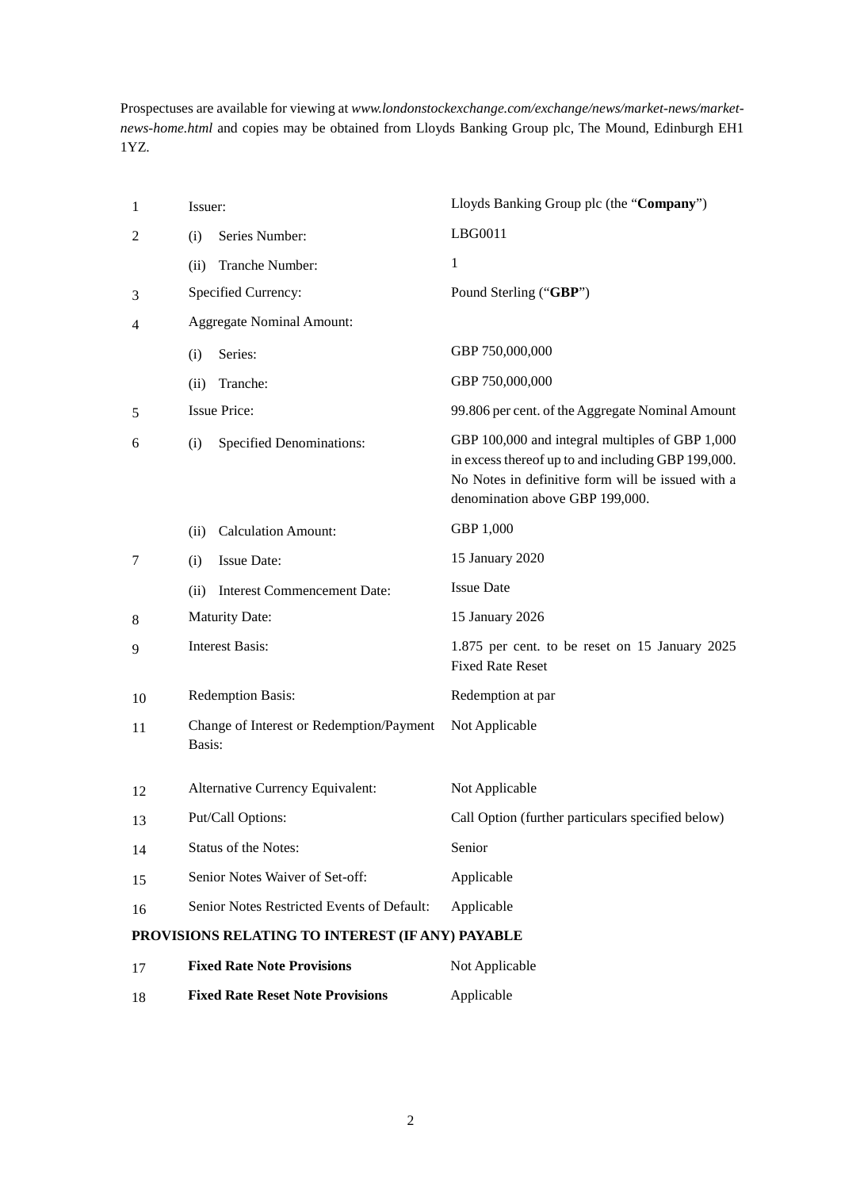Prospectuses are available for viewing at *www.londonstockexchange.com/exchange/news/market-news/marketnews-home.html* and copies may be obtained from Lloyds Banking Group plc, The Mound, Edinburgh EH1 1YZ.

| $\mathbf{1}$                                     | Issuer:                          |                                            | Lloyds Banking Group plc (the "Company")                                                                                                                                                      |
|--------------------------------------------------|----------------------------------|--------------------------------------------|-----------------------------------------------------------------------------------------------------------------------------------------------------------------------------------------------|
| 2                                                | (i)                              | Series Number:                             | LBG0011                                                                                                                                                                                       |
|                                                  | (ii)                             | Tranche Number:                            | 1                                                                                                                                                                                             |
| 3                                                |                                  | Specified Currency:                        | Pound Sterling ("GBP")                                                                                                                                                                        |
| 4                                                | <b>Aggregate Nominal Amount:</b> |                                            |                                                                                                                                                                                               |
|                                                  | (i)                              | Series:                                    | GBP 750,000,000                                                                                                                                                                               |
|                                                  | (ii)                             | Tranche:                                   | GBP 750,000,000                                                                                                                                                                               |
| 5                                                | <b>Issue Price:</b>              |                                            | 99.806 per cent. of the Aggregate Nominal Amount                                                                                                                                              |
| 6                                                | (i)                              | <b>Specified Denominations:</b>            | GBP 100,000 and integral multiples of GBP 1,000<br>in excess thereof up to and including GBP 199,000.<br>No Notes in definitive form will be issued with a<br>denomination above GBP 199,000. |
|                                                  | (ii)                             | <b>Calculation Amount:</b>                 | GBP 1,000                                                                                                                                                                                     |
| 7                                                | (i)                              | <b>Issue Date:</b>                         | 15 January 2020                                                                                                                                                                               |
|                                                  | (ii)                             | <b>Interest Commencement Date:</b>         | <b>Issue Date</b>                                                                                                                                                                             |
| 8                                                | <b>Maturity Date:</b>            |                                            | 15 January 2026                                                                                                                                                                               |
| 9                                                |                                  | <b>Interest Basis:</b>                     | 1.875 per cent. to be reset on 15 January 2025<br><b>Fixed Rate Reset</b>                                                                                                                     |
| 10                                               |                                  | Redemption Basis:                          | Redemption at par                                                                                                                                                                             |
| 11                                               | Basis:                           | Change of Interest or Redemption/Payment   | Not Applicable                                                                                                                                                                                |
| 12                                               |                                  | Alternative Currency Equivalent:           | Not Applicable                                                                                                                                                                                |
| 13                                               |                                  | Put/Call Options:                          | Call Option (further particulars specified below)                                                                                                                                             |
| 14                                               |                                  | Status of the Notes:                       | Senior                                                                                                                                                                                        |
| 15                                               |                                  | Senior Notes Waiver of Set-off:            | Applicable                                                                                                                                                                                    |
| 16                                               |                                  | Senior Notes Restricted Events of Default: | Applicable                                                                                                                                                                                    |
| PROVISIONS RELATING TO INTEREST (IF ANY) PAYABLE |                                  |                                            |                                                                                                                                                                                               |

# 17 **Fixed Rate Note Provisions** Not Applicable

| 18 | <b>Fixed Rate Reset Note Provisions</b> | Applicable |
|----|-----------------------------------------|------------|
|    |                                         |            |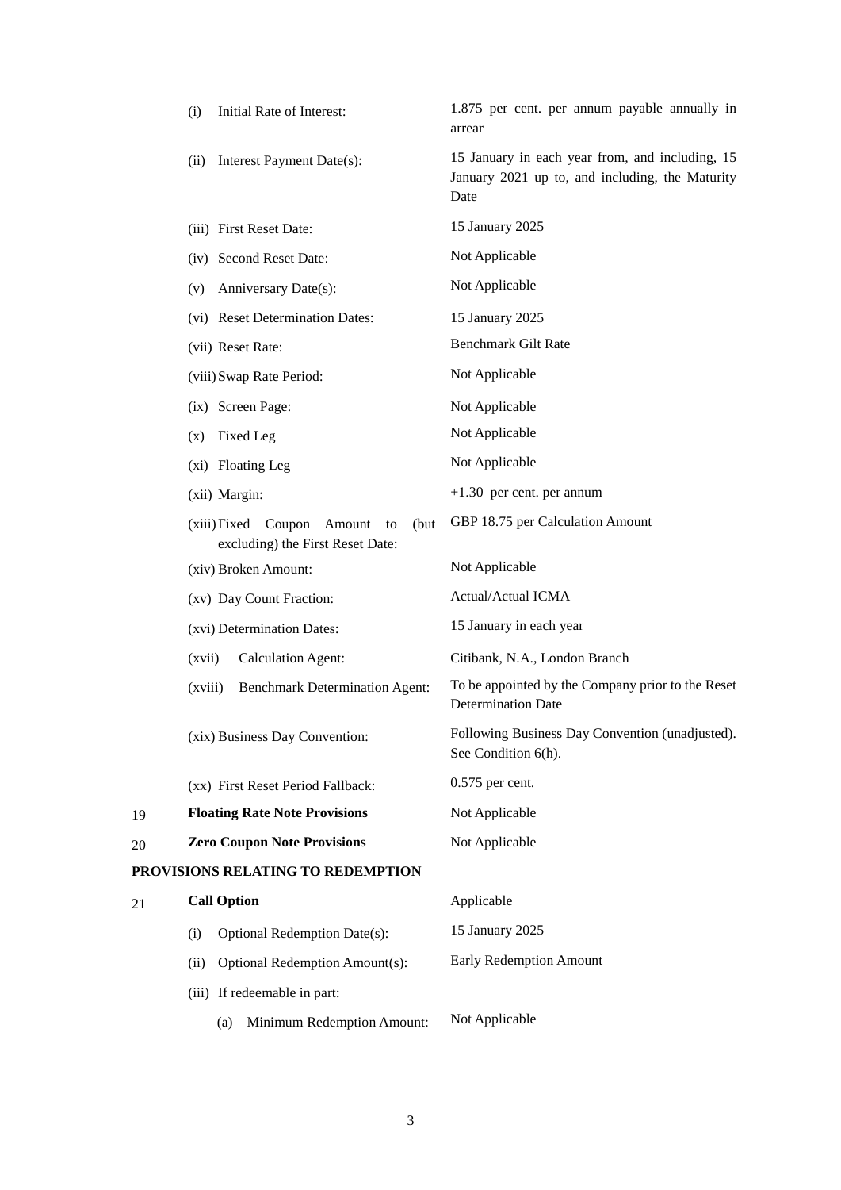|    | (i)     | Initial Rate of Interest:                                                        | 1.875 per cent. per annum payable annually in<br>arrear                                                    |
|----|---------|----------------------------------------------------------------------------------|------------------------------------------------------------------------------------------------------------|
|    | (ii)    | Interest Payment Date(s):                                                        | 15 January in each year from, and including, 15<br>January 2021 up to, and including, the Maturity<br>Date |
|    |         | (iii) First Reset Date:                                                          | 15 January 2025                                                                                            |
|    |         | (iv) Second Reset Date:                                                          | Not Applicable                                                                                             |
|    | (v)     | Anniversary Date(s):                                                             | Not Applicable                                                                                             |
|    |         | (vi) Reset Determination Dates:                                                  | 15 January 2025                                                                                            |
|    |         | (vii) Reset Rate:                                                                | <b>Benchmark Gilt Rate</b>                                                                                 |
|    |         | (viii) Swap Rate Period:                                                         | Not Applicable                                                                                             |
|    |         | (ix) Screen Page:                                                                | Not Applicable                                                                                             |
|    | (x)     | Fixed Leg                                                                        | Not Applicable                                                                                             |
|    |         | (xi) Floating Leg                                                                | Not Applicable                                                                                             |
|    |         | (xii) Margin:                                                                    | $+1.30$ per cent. per annum                                                                                |
|    |         | Coupon Amount<br>(xiii) Fixed<br>(but)<br>to<br>excluding) the First Reset Date: | GBP 18.75 per Calculation Amount                                                                           |
|    |         | (xiv) Broken Amount:                                                             | Not Applicable                                                                                             |
|    |         | (xv) Day Count Fraction:                                                         | <b>Actual/Actual ICMA</b>                                                                                  |
|    |         | (xvi) Determination Dates:                                                       | 15 January in each year                                                                                    |
|    | (xvii)  | <b>Calculation Agent:</b>                                                        | Citibank, N.A., London Branch                                                                              |
|    | (xviii) | <b>Benchmark Determination Agent:</b>                                            | To be appointed by the Company prior to the Reset<br><b>Determination Date</b>                             |
|    |         | (xix) Business Day Convention:                                                   | Following Business Day Convention (unadjusted).<br>See Condition 6(h).                                     |
|    |         | (xx) First Reset Period Fallback:                                                | 0.575 per cent.                                                                                            |
| 19 |         | <b>Floating Rate Note Provisions</b>                                             | Not Applicable                                                                                             |
| 20 |         | <b>Zero Coupon Note Provisions</b>                                               | Not Applicable                                                                                             |
|    |         | PROVISIONS RELATING TO REDEMPTION                                                |                                                                                                            |
| 21 |         | <b>Call Option</b>                                                               | Applicable                                                                                                 |
|    | (i)     | <b>Optional Redemption Date(s):</b>                                              | 15 January 2025                                                                                            |
|    | (ii)    | Optional Redemption Amount(s):                                                   | <b>Early Redemption Amount</b>                                                                             |
|    |         | (iii) If redeemable in part:                                                     |                                                                                                            |
|    |         | Minimum Redemption Amount:<br>(a)                                                | Not Applicable                                                                                             |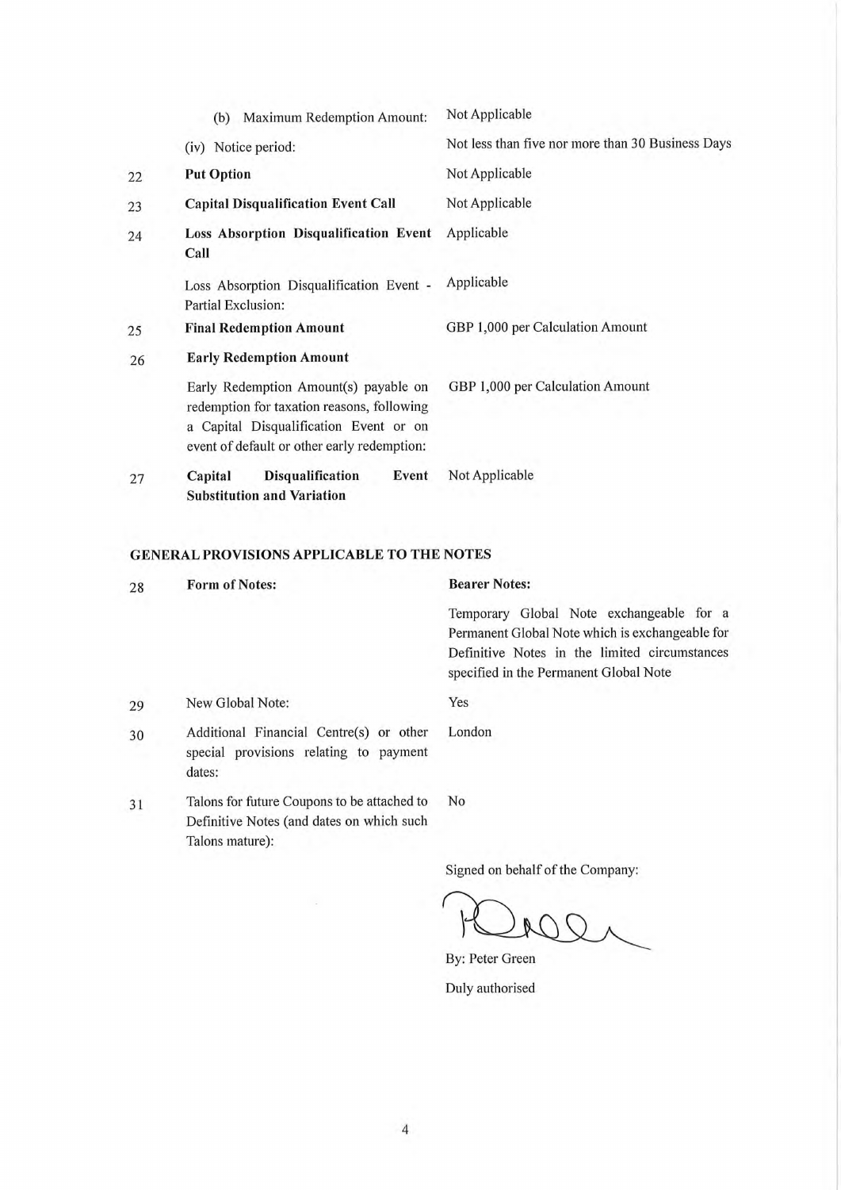|    | <b>Maximum Redemption Amount:</b><br>(b)                                                                                                                                     | Not Applicable                                    |
|----|------------------------------------------------------------------------------------------------------------------------------------------------------------------------------|---------------------------------------------------|
|    | (iv) Notice period:                                                                                                                                                          | Not less than five nor more than 30 Business Days |
| 22 | <b>Put Option</b>                                                                                                                                                            | Not Applicable                                    |
| 23 | <b>Capital Disqualification Event Call</b>                                                                                                                                   | Not Applicable                                    |
| 24 | Loss Absorption Disqualification Event<br>Call                                                                                                                               | Applicable                                        |
|    | Loss Absorption Disqualification Event -<br>Partial Exclusion:                                                                                                               | Applicable                                        |
| 25 | <b>Final Redemption Amount</b>                                                                                                                                               | GBP 1,000 per Calculation Amount                  |
| 26 | <b>Early Redemption Amount</b>                                                                                                                                               |                                                   |
|    | Early Redemption Amount(s) payable on<br>redemption for taxation reasons, following<br>a Capital Disqualification Event or on<br>event of default or other early redemption: | GBP 1,000 per Calculation Amount                  |
| 27 | <b>Disqualification</b><br>Event<br>Capital<br><b>Substitution and Variation</b>                                                                                             | Not Applicable                                    |

## GENERAL PROVISIONS APPLICABLE TO THE NOTES

| 28 | <b>Form of Notes:</b>                                                                                       | <b>Bearer Notes:</b>                                                                    |
|----|-------------------------------------------------------------------------------------------------------------|-----------------------------------------------------------------------------------------|
|    |                                                                                                             | Temporary Global Note exchangeable for a                                                |
|    |                                                                                                             | Permanent Global Note which is exchangeable for                                         |
|    |                                                                                                             | Definitive Notes in the limited circumstances<br>specified in the Permanent Global Note |
| 29 | New Global Note:                                                                                            | Yes                                                                                     |
| 30 | Additional Financial Centre(s) or other<br>special provisions relating to payment<br>dates:                 | London                                                                                  |
| 31 | Talons for future Coupons to be attached to<br>Definitive Notes (and dates on which such<br>Talons mature): | N <sub>0</sub>                                                                          |
|    |                                                                                                             |                                                                                         |

Signed on behalf of the Company:

By: Peter Green

Duly authorised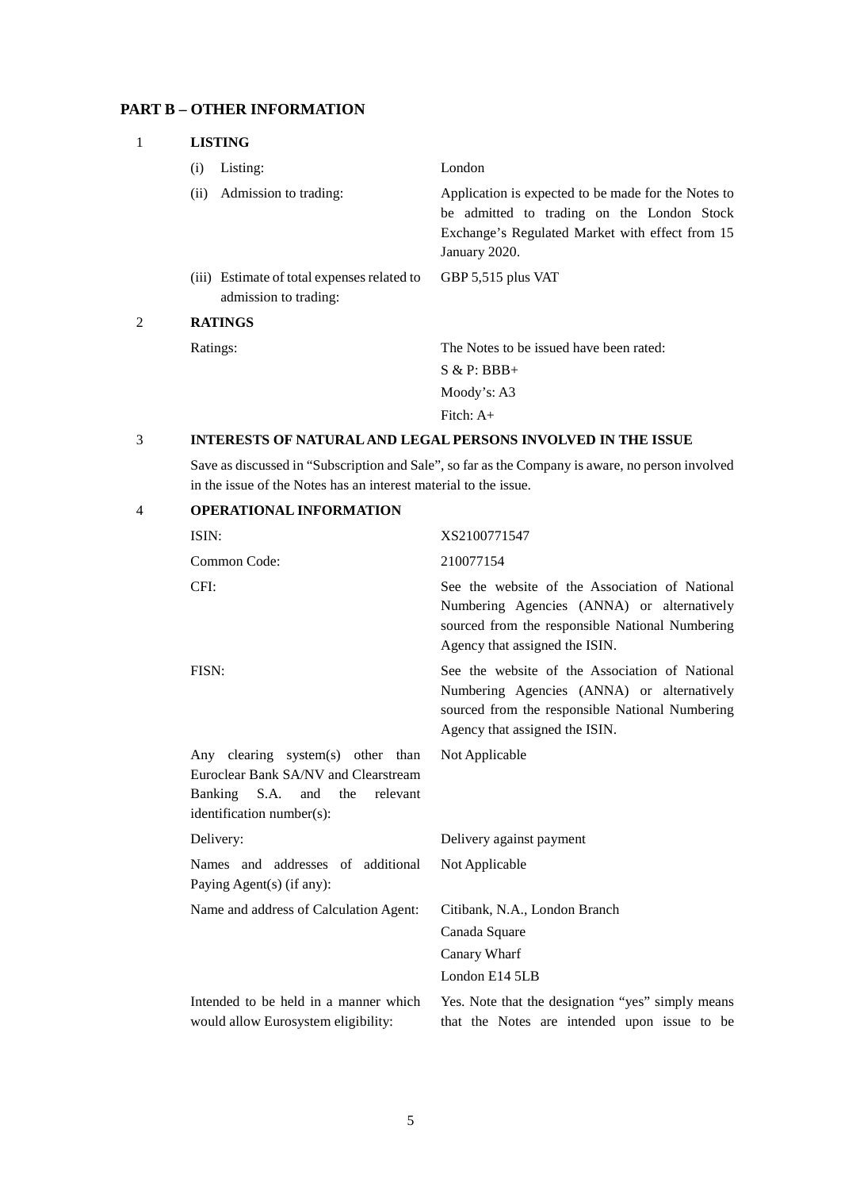## **PART B – OTHER INFORMATION**

|   | <b>LISTING</b> |                                                                      |                                                                                                                                                                       |  |
|---|----------------|----------------------------------------------------------------------|-----------------------------------------------------------------------------------------------------------------------------------------------------------------------|--|
|   | (i)            | Listing:                                                             | London                                                                                                                                                                |  |
|   | (ii)           | Admission to trading:                                                | Application is expected to be made for the Notes to<br>be admitted to trading on the London Stock<br>Exchange's Regulated Market with effect from 15<br>January 2020. |  |
|   |                | (iii) Estimate of total expenses related to<br>admission to trading: | GBP 5,515 plus VAT                                                                                                                                                    |  |
| 2 | <b>RATINGS</b> |                                                                      |                                                                                                                                                                       |  |
|   | Ratings:       |                                                                      | The Notes to be issued have been rated:                                                                                                                               |  |
|   |                |                                                                      | $S & P: BBB+$                                                                                                                                                         |  |
|   |                |                                                                      | Moody's: $A3$                                                                                                                                                         |  |
|   |                |                                                                      | Fitch: $A+$                                                                                                                                                           |  |

### 3 **INTERESTS OF NATURAL AND LEGAL PERSONS INVOLVED IN THE ISSUE**

Save as discussed in "Subscription and Sale", so far as the Company is aware, no person involved in the issue of the Notes has an interest material to the issue.

| $\overline{4}$ | <b>OPERATIONAL INFORMATION</b>                                                                                                                   |                                                                                                                                                                                   |
|----------------|--------------------------------------------------------------------------------------------------------------------------------------------------|-----------------------------------------------------------------------------------------------------------------------------------------------------------------------------------|
|                | ISIN:                                                                                                                                            | XS2100771547                                                                                                                                                                      |
|                | Common Code:                                                                                                                                     | 210077154                                                                                                                                                                         |
|                | CFI:                                                                                                                                             | See the website of the Association of National<br>Numbering Agencies (ANNA) or alternatively<br>sourced from the responsible National Numbering<br>Agency that assigned the ISIN. |
|                | FISN:                                                                                                                                            | See the website of the Association of National<br>Numbering Agencies (ANNA) or alternatively<br>sourced from the responsible National Numbering<br>Agency that assigned the ISIN. |
|                | Any clearing system(s) other than<br>Euroclear Bank SA/NV and Clearstream<br>Banking S.A.<br>and<br>the<br>relevant<br>identification number(s): | Not Applicable                                                                                                                                                                    |
|                | Delivery:                                                                                                                                        | Delivery against payment                                                                                                                                                          |
|                | Names and addresses of additional<br>Paying Agent(s) (if any):                                                                                   | Not Applicable                                                                                                                                                                    |
|                | Name and address of Calculation Agent:                                                                                                           | Citibank, N.A., London Branch                                                                                                                                                     |
|                |                                                                                                                                                  | Canada Square                                                                                                                                                                     |
|                |                                                                                                                                                  | Canary Wharf                                                                                                                                                                      |
|                |                                                                                                                                                  | London E14 5LB                                                                                                                                                                    |
|                | Intended to be held in a manner which<br>would allow Eurosystem eligibility:                                                                     | Yes. Note that the designation "yes" simply means<br>that the Notes are intended upon issue to be                                                                                 |